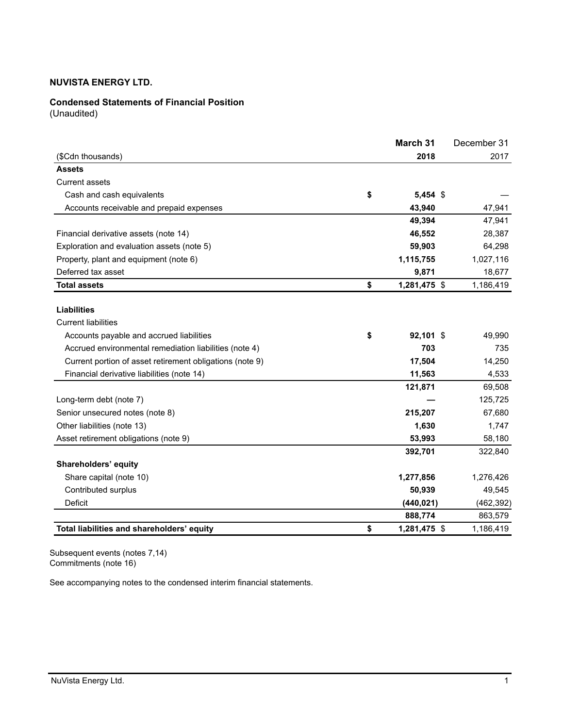### **Condensed Statements of Financial Position**

(Unaudited)

|                                                          | March 31           | December 31 |
|----------------------------------------------------------|--------------------|-------------|
| (\$Cdn thousands)                                        | 2018               | 2017        |
| <b>Assets</b>                                            |                    |             |
| <b>Current assets</b>                                    |                    |             |
| Cash and cash equivalents                                | \$<br>$5,454$ \$   |             |
| Accounts receivable and prepaid expenses                 | 43,940             | 47,941      |
|                                                          | 49,394             | 47,941      |
| Financial derivative assets (note 14)                    | 46,552             | 28,387      |
| Exploration and evaluation assets (note 5)               | 59,903             | 64,298      |
| Property, plant and equipment (note 6)                   | 1,115,755          | 1,027,116   |
| Deferred tax asset                                       | 9,871              | 18,677      |
| <b>Total assets</b>                                      | \$<br>1,281,475 \$ | 1,186,419   |
| <b>Liabilities</b><br><b>Current liabilities</b>         |                    |             |
| Accounts payable and accrued liabilities                 | \$<br>92,101 \$    | 49,990      |
| Accrued environmental remediation liabilities (note 4)   | 703                | 735         |
| Current portion of asset retirement obligations (note 9) | 17,504             | 14,250      |
| Financial derivative liabilities (note 14)               | 11,563             | 4,533       |
|                                                          | 121,871            | 69,508      |
| Long-term debt (note 7)                                  |                    | 125,725     |
| Senior unsecured notes (note 8)                          | 215,207            | 67,680      |
| Other liabilities (note 13)                              | 1,630              | 1,747       |
| Asset retirement obligations (note 9)                    | 53,993             | 58,180      |
|                                                          | 392,701            | 322,840     |
| Shareholders' equity                                     |                    |             |
| Share capital (note 10)                                  | 1,277,856          | 1,276,426   |
| Contributed surplus                                      | 50,939             | 49,545      |
| <b>Deficit</b>                                           | (440, 021)         | (462, 392)  |
|                                                          | 888,774            | 863,579     |
| Total liabilities and shareholders' equity               | \$<br>1,281,475 \$ | 1,186,419   |

Subsequent events (notes 7,14) Commitments (note 16)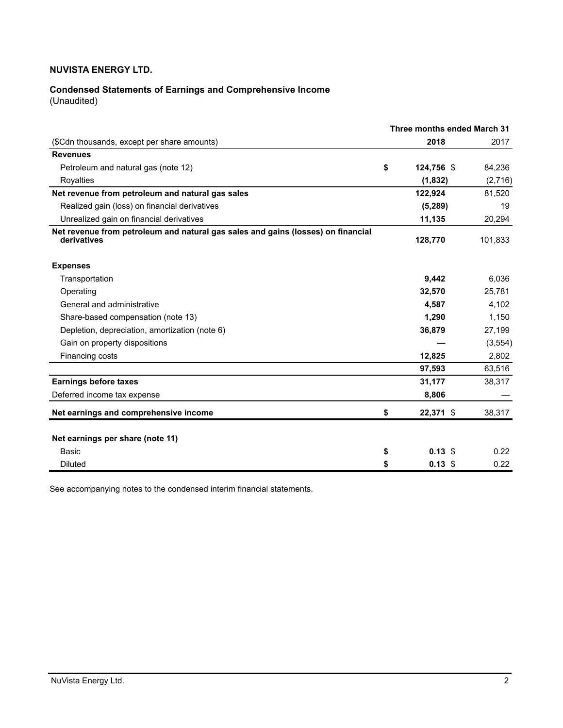# **Condensed Statements of Earnings and Comprehensive Income**

(Unaudited)

|                                                                                                 |    | Three months ended March 31 |          |
|-------------------------------------------------------------------------------------------------|----|-----------------------------|----------|
| (\$Cdn thousands, except per share amounts)                                                     |    | 2018                        | 2017     |
| <b>Revenues</b>                                                                                 |    |                             |          |
| Petroleum and natural gas (note 12)                                                             | \$ | 124,756 \$                  | 84,236   |
| Royalties                                                                                       |    | (1, 832)                    | (2,716)  |
| Net revenue from petroleum and natural gas sales                                                |    | 122,924                     | 81,520   |
| Realized gain (loss) on financial derivatives                                                   |    | (5,289)                     | 19       |
| Unrealized gain on financial derivatives                                                        |    | 11,135                      | 20,294   |
| Net revenue from petroleum and natural gas sales and gains (losses) on financial<br>derivatives |    | 128,770                     | 101,833  |
| <b>Expenses</b>                                                                                 |    |                             |          |
| Transportation                                                                                  |    | 9.442                       | 6,036    |
| Operating                                                                                       |    | 32,570                      | 25,781   |
| General and administrative                                                                      |    | 4,587                       | 4,102    |
| Share-based compensation (note 13)                                                              |    | 1,290                       | 1,150    |
| Depletion, depreciation, amortization (note 6)                                                  |    | 36,879                      | 27,199   |
| Gain on property dispositions                                                                   |    |                             | (3, 554) |
| Financing costs                                                                                 |    | 12,825                      | 2.802    |
|                                                                                                 |    | 97,593                      | 63,516   |
| <b>Earnings before taxes</b>                                                                    |    | 31,177                      | 38,317   |
| Deferred income tax expense                                                                     |    | 8,806                       |          |
| Net earnings and comprehensive income                                                           | \$ | 22,371 \$                   | 38,317   |
| Net earnings per share (note 11)                                                                |    |                             |          |
| Basic                                                                                           | \$ | $0.13~\text{\AA}$           | 0.22     |
| <b>Diluted</b>                                                                                  | \$ | $0.13$ \$                   | 0.22     |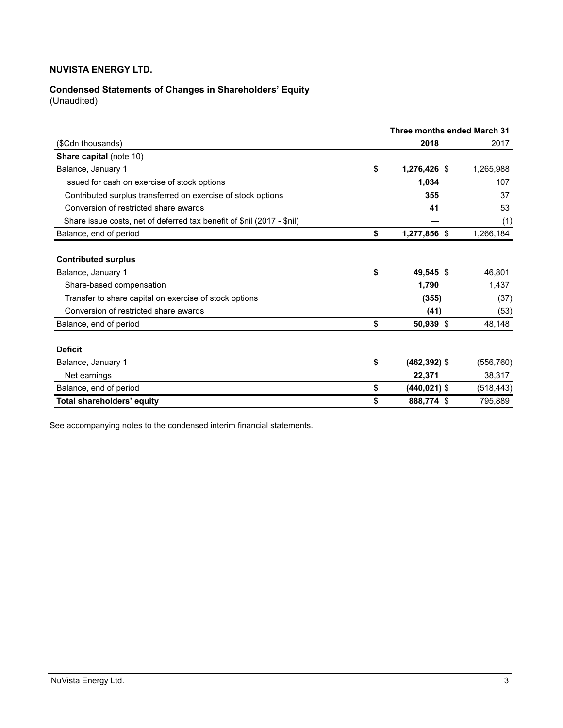# **Condensed Statements of Changes in Shareholders' Equity**

(Unaudited)

|                                                                                                 | Three months ended March 31 |            |  |  |
|-------------------------------------------------------------------------------------------------|-----------------------------|------------|--|--|
| (\$Cdn thousands)                                                                               | 2018                        | 2017       |  |  |
| <b>Share capital (note 10)</b>                                                                  |                             |            |  |  |
| Balance, January 1                                                                              | \$<br>1,276,426 \$          | 1,265,988  |  |  |
| Issued for cash on exercise of stock options                                                    | 1,034                       | 107        |  |  |
| Contributed surplus transferred on exercise of stock options                                    | 355                         | 37         |  |  |
| Conversion of restricted share awards                                                           | 41                          | 53         |  |  |
| Share issue costs, net of deferred tax benefit of \$nil (2017 - \$nil)                          |                             | (1)        |  |  |
| Balance, end of period                                                                          | \$<br>1,277,856 \$          | 1,266,184  |  |  |
| <b>Contributed surplus</b>                                                                      |                             |            |  |  |
| Balance, January 1                                                                              | \$<br>49,545 \$             | 46,801     |  |  |
|                                                                                                 | 1,790                       | 1,437      |  |  |
| Share-based compensation                                                                        |                             |            |  |  |
| Transfer to share capital on exercise of stock options<br>Conversion of restricted share awards | (355)                       | (37)       |  |  |
|                                                                                                 | (41)                        | (53)       |  |  |
| Balance, end of period                                                                          | \$<br>50,939 \$             | 48,148     |  |  |
| <b>Deficit</b>                                                                                  |                             |            |  |  |
| Balance, January 1                                                                              | \$<br>$(462, 392)$ \$       | (556, 760) |  |  |
| Net earnings                                                                                    | 22,371                      | 38,317     |  |  |
| Balance, end of period                                                                          | \$<br>$(440.021)$ \$        | (518, 443) |  |  |
| Total shareholders' equity                                                                      | \$<br>888,774 \$            | 795,889    |  |  |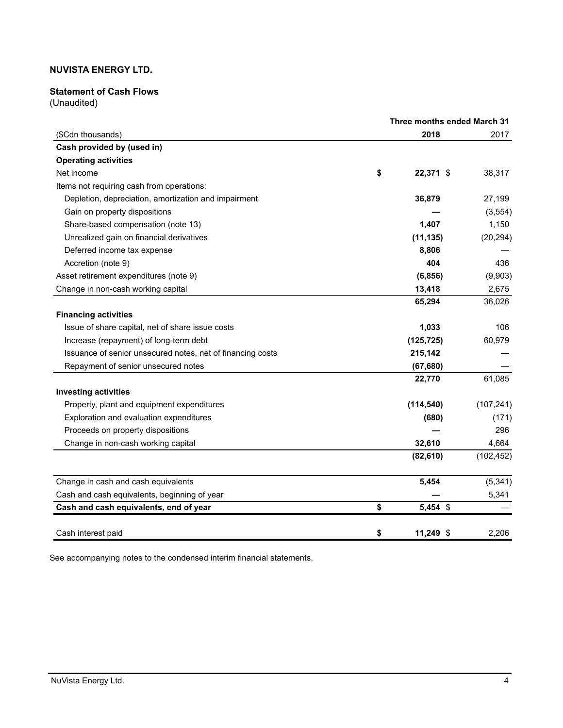### **Statement of Cash Flows**

(Unaudited)

|                                                            |    |             | Three months ended March 31 |  |  |
|------------------------------------------------------------|----|-------------|-----------------------------|--|--|
| (\$Cdn thousands)                                          |    | 2018        | 2017                        |  |  |
| Cash provided by (used in)                                 |    |             |                             |  |  |
| <b>Operating activities</b>                                |    |             |                             |  |  |
| Net income                                                 | \$ | 22,371 \$   | 38,317                      |  |  |
| Items not requiring cash from operations:                  |    |             |                             |  |  |
| Depletion, depreciation, amortization and impairment       |    | 36,879      | 27,199                      |  |  |
| Gain on property dispositions                              |    |             | (3, 554)                    |  |  |
| Share-based compensation (note 13)                         |    | 1,407       | 1,150                       |  |  |
| Unrealized gain on financial derivatives                   |    | (11, 135)   | (20, 294)                   |  |  |
| Deferred income tax expense                                |    | 8,806       |                             |  |  |
| Accretion (note 9)                                         |    | 404         | 436                         |  |  |
| Asset retirement expenditures (note 9)                     |    | (6, 856)    | (9,903)                     |  |  |
| Change in non-cash working capital                         |    | 13,418      | 2,675                       |  |  |
|                                                            |    | 65,294      | 36,026                      |  |  |
| <b>Financing activities</b>                                |    |             |                             |  |  |
| Issue of share capital, net of share issue costs           |    | 1,033       | 106                         |  |  |
| Increase (repayment) of long-term debt                     |    | (125, 725)  | 60,979                      |  |  |
| Issuance of senior unsecured notes, net of financing costs |    | 215,142     |                             |  |  |
| Repayment of senior unsecured notes                        |    | (67, 680)   |                             |  |  |
|                                                            |    | 22,770      | 61,085                      |  |  |
| <b>Investing activities</b>                                |    |             |                             |  |  |
| Property, plant and equipment expenditures                 |    | (114, 540)  | (107, 241)                  |  |  |
| Exploration and evaluation expenditures                    |    | (680)       | (171)                       |  |  |
| Proceeds on property dispositions                          |    |             | 296                         |  |  |
| Change in non-cash working capital                         |    | 32,610      | 4,664                       |  |  |
|                                                            |    | (82, 610)   | (102, 452)                  |  |  |
| Change in cash and cash equivalents                        |    | 5,454       | (5, 341)                    |  |  |
| Cash and cash equivalents, beginning of year               |    |             | 5,341                       |  |  |
| Cash and cash equivalents, end of year                     | \$ | 5,454 \$    |                             |  |  |
| Cash interest paid                                         | \$ | $11,249$ \$ | 2,206                       |  |  |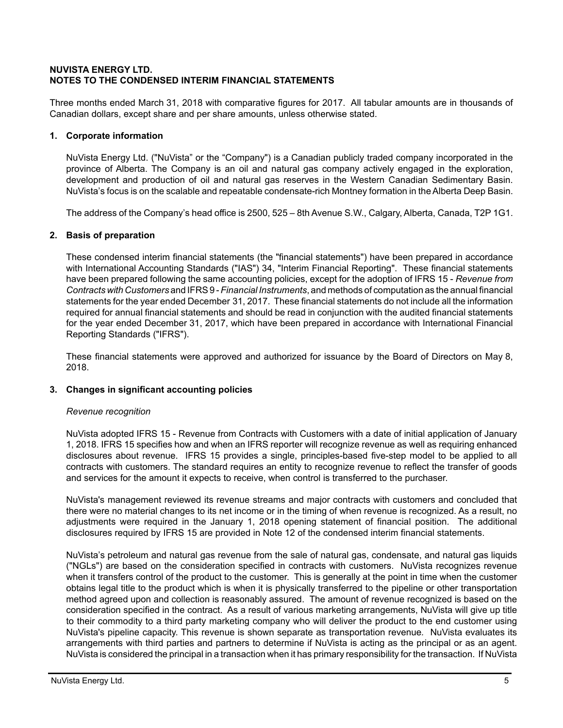### **NUVISTA ENERGY LTD. NOTES TO THE CONDENSED INTERIM FINANCIAL STATEMENTS**

Three months ended March 31, 2018 with comparative figures for 2017. All tabular amounts are in thousands of Canadian dollars, except share and per share amounts, unless otherwise stated.

### **1. Corporate information**

NuVista Energy Ltd. ("NuVista" or the "Company") is a Canadian publicly traded company incorporated in the province of Alberta. The Company is an oil and natural gas company actively engaged in the exploration, development and production of oil and natural gas reserves in the Western Canadian Sedimentary Basin. NuVista's focus is on the scalable and repeatable condensate-rich Montney formation in the Alberta Deep Basin.

The address of the Company's head office is 2500, 525 – 8th Avenue S.W., Calgary, Alberta, Canada, T2P 1G1.

### **2. Basis of preparation**

These condensed interim financial statements (the "financial statements") have been prepared in accordance with International Accounting Standards ("IAS") 34, "Interim Financial Reporting". These financial statements have been prepared following the same accounting policies, except for the adoption of IFRS 15 - *Revenue from Contracts with Customers* and IFRS 9 - *Financial Instruments*, and methods of computation as the annual financial statements for the year ended December 31, 2017. These financial statements do not include all the information required for annual financial statements and should be read in conjunction with the audited financial statements for the year ended December 31, 2017, which have been prepared in accordance with International Financial Reporting Standards ("IFRS").

These financial statements were approved and authorized for issuance by the Board of Directors on May 8, 2018.

### **3. Changes in significant accounting policies**

### *Revenue recognition*

NuVista adopted IFRS 15 - Revenue from Contracts with Customers with a date of initial application of January 1, 2018. IFRS 15 specifies how and when an IFRS reporter will recognize revenue as well as requiring enhanced disclosures about revenue. IFRS 15 provides a single, principles-based five-step model to be applied to all contracts with customers. The standard requires an entity to recognize revenue to reflect the transfer of goods and services for the amount it expects to receive, when control is transferred to the purchaser.

NuVista's management reviewed its revenue streams and major contracts with customers and concluded that there were no material changes to its net income or in the timing of when revenue is recognized. As a result, no adjustments were required in the January 1, 2018 opening statement of financial position. The additional disclosures required by IFRS 15 are provided in Note 12 of the condensed interim financial statements.

NuVista's petroleum and natural gas revenue from the sale of natural gas, condensate, and natural gas liquids ("NGLs") are based on the consideration specified in contracts with customers. NuVista recognizes revenue when it transfers control of the product to the customer. This is generally at the point in time when the customer obtains legal title to the product which is when it is physically transferred to the pipeline or other transportation method agreed upon and collection is reasonably assured. The amount of revenue recognized is based on the consideration specified in the contract. As a result of various marketing arrangements, NuVista will give up title to their commodity to a third party marketing company who will deliver the product to the end customer using NuVista's pipeline capacity. This revenue is shown separate as transportation revenue*.* NuVista evaluates its arrangements with third parties and partners to determine if NuVista is acting as the principal or as an agent. NuVista is considered the principal in a transaction when it has primary responsibility for the transaction. If NuVista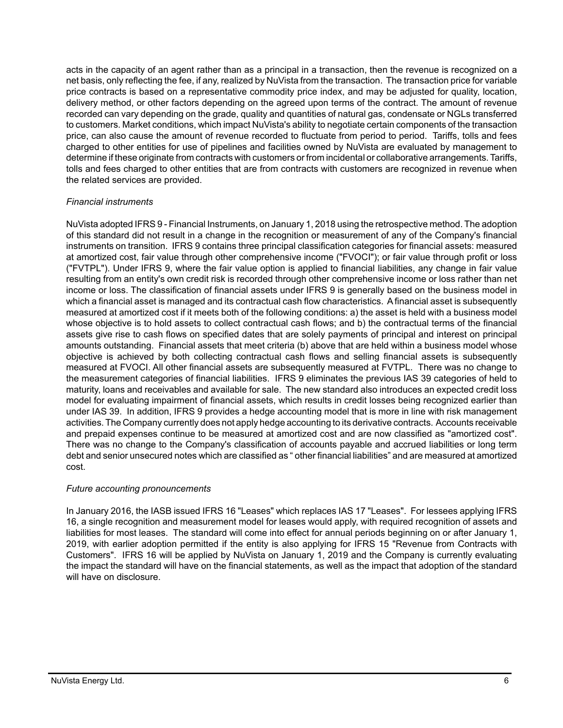acts in the capacity of an agent rather than as a principal in a transaction, then the revenue is recognized on a net basis, only reflecting the fee, if any, realized by NuVista from the transaction. The transaction price for variable price contracts is based on a representative commodity price index, and may be adjusted for quality, location, delivery method, or other factors depending on the agreed upon terms of the contract. The amount of revenue recorded can vary depending on the grade, quality and quantities of natural gas, condensate or NGLs transferred to customers. Market conditions, which impact NuVista's ability to negotiate certain components of the transaction price, can also cause the amount of revenue recorded to fluctuate from period to period. Tariffs, tolls and fees charged to other entities for use of pipelines and facilities owned by NuVista are evaluated by management to determine if these originate from contracts with customers or from incidental or collaborative arrangements. Tariffs, tolls and fees charged to other entities that are from contracts with customers are recognized in revenue when the related services are provided.

### *Financial instruments*

NuVista adopted IFRS 9 - Financial Instruments, on January 1, 2018 using the retrospective method. The adoption of this standard did not result in a change in the recognition or measurement of any of the Company's financial instruments on transition. IFRS 9 contains three principal classification categories for financial assets: measured at amortized cost, fair value through other comprehensive income ("FVOCI"); or fair value through profit or loss ("FVTPL"). Under IFRS 9, where the fair value option is applied to financial liabilities, any change in fair value resulting from an entity's own credit risk is recorded through other comprehensive income or loss rather than net income or loss. The classification of financial assets under IFRS 9 is generally based on the business model in which a financial asset is managed and its contractual cash flow characteristics. A financial asset is subsequently measured at amortized cost if it meets both of the following conditions: a) the asset is held with a business model whose objective is to hold assets to collect contractual cash flows; and b) the contractual terms of the financial assets give rise to cash flows on specified dates that are solely payments of principal and interest on principal amounts outstanding. Financial assets that meet criteria (b) above that are held within a business model whose objective is achieved by both collecting contractual cash flows and selling financial assets is subsequently measured at FVOCI. All other financial assets are subsequently measured at FVTPL. There was no change to the measurement categories of financial liabilities. IFRS 9 eliminates the previous IAS 39 categories of held to maturity, loans and receivables and available for sale. The new standard also introduces an expected credit loss model for evaluating impairment of financial assets, which results in credit losses being recognized earlier than under IAS 39. In addition, IFRS 9 provides a hedge accounting model that is more in line with risk management activities. The Company currently does not apply hedge accounting to its derivative contracts. Accounts receivable and prepaid expenses continue to be measured at amortized cost and are now classified as "amortized cost". There was no change to the Company's classification of accounts payable and accrued liabilities or long term debt and senior unsecured notes which are classified as " other financial liabilities" and are measured at amortized cost.

### *Future accounting pronouncements*

In January 2016, the IASB issued IFRS 16 "Leases" which replaces IAS 17 "Leases". For lessees applying IFRS 16, a single recognition and measurement model for leases would apply, with required recognition of assets and liabilities for most leases. The standard will come into effect for annual periods beginning on or after January 1, 2019, with earlier adoption permitted if the entity is also applying for IFRS 15 "Revenue from Contracts with Customers". IFRS 16 will be applied by NuVista on January 1, 2019 and the Company is currently evaluating the impact the standard will have on the financial statements, as well as the impact that adoption of the standard will have on disclosure.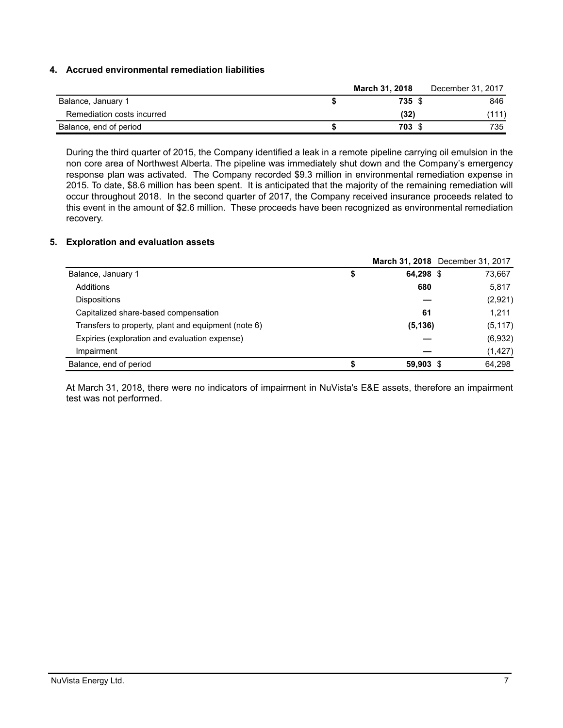### **4. Accrued environmental remediation liabilities**

|                            | March 31, 2018 | December 31, 2017 |
|----------------------------|----------------|-------------------|
| Balance, January 1         | 735 \$         | 846               |
| Remediation costs incurred | (32)           | (111)             |
| Balance, end of period     | 703 \$         | 735               |

During the third quarter of 2015, the Company identified a leak in a remote pipeline carrying oil emulsion in the non core area of Northwest Alberta. The pipeline was immediately shut down and the Company's emergency response plan was activated. The Company recorded \$9.3 million in environmental remediation expense in 2015. To date, \$8.6 million has been spent. It is anticipated that the majority of the remaining remediation will occur throughout 2018. In the second quarter of 2017, the Company received insurance proceeds related to this event in the amount of \$2.6 million. These proceeds have been recognized as environmental remediation recovery.

#### **5. Exploration and evaluation assets**

|                                                     |   |           | March 31, 2018 December 31, 2017 |
|-----------------------------------------------------|---|-----------|----------------------------------|
| Balance, January 1                                  | ⊅ | 64,298 \$ | 73,667                           |
| Additions                                           |   | 680       | 5,817                            |
| <b>Dispositions</b>                                 |   |           | (2,921)                          |
| Capitalized share-based compensation                |   | 61        | 1,211                            |
| Transfers to property, plant and equipment (note 6) |   | (5, 136)  | (5, 117)                         |
| Expiries (exploration and evaluation expense)       |   |           | (6,932)                          |
| Impairment                                          |   |           | (1, 427)                         |
| Balance, end of period                              |   | 59,903 \$ | 64.298                           |

At March 31, 2018, there were no indicators of impairment in NuVista's E&E assets, therefore an impairment test was not performed.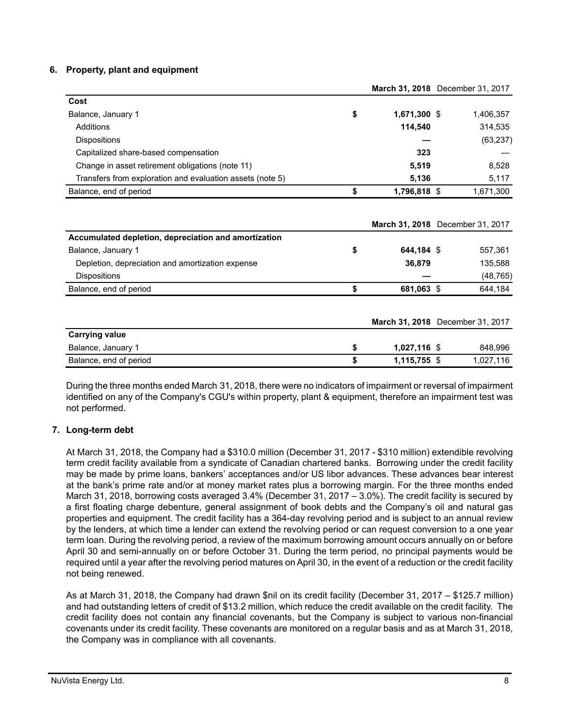### **6. Property, plant and equipment**

|                                                           |                    | March 31, 2018 December 31, 2017 |
|-----------------------------------------------------------|--------------------|----------------------------------|
| Cost                                                      |                    |                                  |
| Balance, January 1                                        | \$<br>1,671,300 \$ | 1,406,357                        |
| Additions                                                 | 114,540            | 314,535                          |
| <b>Dispositions</b>                                       |                    | (63, 237)                        |
| Capitalized share-based compensation                      | 323                |                                  |
| Change in asset retirement obligations (note 11)          | 5,519              | 8,528                            |
| Transfers from exploration and evaluation assets (note 5) | 5,136              | 5,117                            |
| Balance, end of period                                    | \$<br>1,796,818 \$ | 1,671,300                        |
|                                                           |                    |                                  |
|                                                           |                    | March 31, 2018 December 31, 2017 |
| Accumulated depletion, depreciation and amortization      |                    |                                  |
| Balance, January 1                                        | \$<br>644,184 \$   | 557,361                          |
| Depletion, depreciation and amortization expense          | 36,879             | 135,588                          |
| <b>Dispositions</b>                                       |                    | (48, 765)                        |
| Balance, end of period                                    | \$<br>681,063 \$   | 644,184                          |

|                        |                | <b>March 31, 2018</b> December 31, 2017 |
|------------------------|----------------|-----------------------------------------|
| <b>Carrying value</b>  |                |                                         |
| Balance, January 1     | $1.027.116$ \$ | 848,996                                 |
| Balance, end of period | 1,115,755 \$   | 1,027,116                               |

During the three months ended March 31, 2018, there were no indicators of impairment or reversal of impairment identified on any of the Company's CGU's within property, plant & equipment, therefore an impairment test was not performed.

### **7. Long-term debt**

At March 31, 2018, the Company had a \$310.0 million (December 31, 2017 - \$310 million) extendible revolving term credit facility available from a syndicate of Canadian chartered banks. Borrowing under the credit facility may be made by prime loans, bankers' acceptances and/or US libor advances. These advances bear interest at the bank's prime rate and/or at money market rates plus a borrowing margin. For the three months ended March 31, 2018, borrowing costs averaged 3.4% (December 31, 2017 – 3.0%). The credit facility is secured by a first floating charge debenture, general assignment of book debts and the Company's oil and natural gas properties and equipment. The credit facility has a 364-day revolving period and is subject to an annual review by the lenders, at which time a lender can extend the revolving period or can request conversion to a one year term loan. During the revolving period, a review of the maximum borrowing amount occurs annually on or before April 30 and semi-annually on or before October 31. During the term period, no principal payments would be required until a year after the revolving period matures on April 30, in the event of a reduction or the credit facility not being renewed.

As at March 31, 2018, the Company had drawn \$nil on its credit facility (December 31, 2017 – \$125.7 million) and had outstanding letters of credit of \$13.2 million, which reduce the credit available on the credit facility. The credit facility does not contain any financial covenants, but the Company is subject to various non-financial covenants under its credit facility. These covenants are monitored on a regular basis and as at March 31, 2018, the Company was in compliance with all covenants.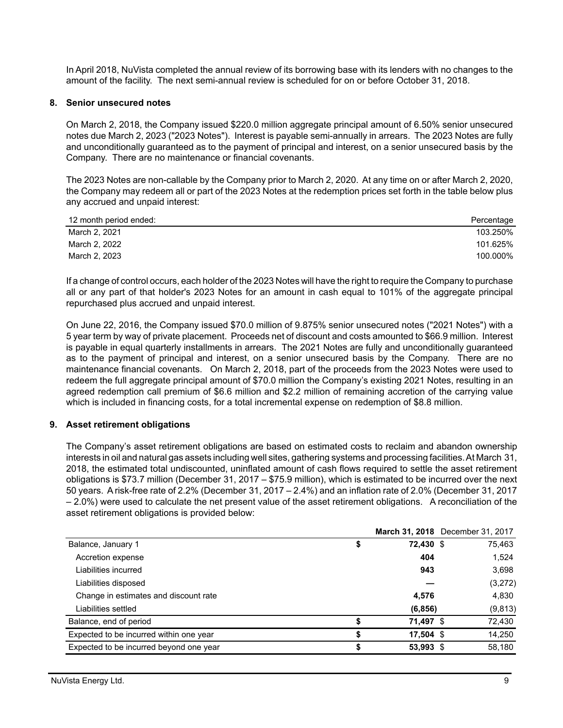In April 2018, NuVista completed the annual review of its borrowing base with its lenders with no changes to the amount of the facility. The next semi-annual review is scheduled for on or before October 31, 2018.

#### **8. Senior unsecured notes**

On March 2, 2018, the Company issued \$220.0 million aggregate principal amount of 6.50% senior unsecured notes due March 2, 2023 ("2023 Notes"). Interest is payable semi-annually in arrears. The 2023 Notes are fully and unconditionally guaranteed as to the payment of principal and interest, on a senior unsecured basis by the Company. There are no maintenance or financial covenants.

The 2023 Notes are non-callable by the Company prior to March 2, 2020. At any time on or after March 2, 2020, the Company may redeem all or part of the 2023 Notes at the redemption prices set forth in the table below plus any accrued and unpaid interest:

| 12 month period ended: | Percentage |
|------------------------|------------|
| March 2, 2021          | 103.250%   |
| March 2, 2022          | 101.625%   |
| March 2, 2023          | 100.000%   |

If a change of control occurs, each holder of the 2023 Notes will have the right to require the Company to purchase all or any part of that holder's 2023 Notes for an amount in cash equal to 101% of the aggregate principal repurchased plus accrued and unpaid interest.

On June 22, 2016, the Company issued \$70.0 million of 9.875% senior unsecured notes ("2021 Notes") with a 5 year term by way of private placement. Proceeds net of discount and costs amounted to \$66.9 million. Interest is payable in equal quarterly installments in arrears. The 2021 Notes are fully and unconditionally guaranteed as to the payment of principal and interest, on a senior unsecured basis by the Company. There are no maintenance financial covenants. On March 2, 2018, part of the proceeds from the 2023 Notes were used to redeem the full aggregate principal amount of \$70.0 million the Company's existing 2021 Notes, resulting in an agreed redemption call premium of \$6.6 million and \$2.2 million of remaining accretion of the carrying value which is included in financing costs, for a total incremental expense on redemption of \$8.8 million.

#### **9. Asset retirement obligations**

The Company's asset retirement obligations are based on estimated costs to reclaim and abandon ownership interests in oil and natural gas assets including well sites, gathering systems and processing facilities. At March 31, 2018, the estimated total undiscounted, uninflated amount of cash flows required to settle the asset retirement obligations is \$73.7 million (December 31, 2017 – \$75.9 million), which is estimated to be incurred over the next 50 years. A risk-free rate of 2.2% (December 31, 2017 – 2.4%) and an inflation rate of 2.0% (December 31, 2017 – 2.0%) were used to calculate the net present value of the asset retirement obligations. A reconciliation of the asset retirement obligations is provided below:

|                                         |    |             | March 31, 2018 December 31, 2017 |
|-----------------------------------------|----|-------------|----------------------------------|
| Balance, January 1                      | ъ  | 72,430 \$   | 75,463                           |
| Accretion expense                       |    | 404         | 1,524                            |
| Liabilities incurred                    |    | 943         | 3,698                            |
| Liabilities disposed                    |    |             | (3,272)                          |
| Change in estimates and discount rate   |    | 4,576       | 4,830                            |
| Liabilities settled                     |    | (6, 856)    | (9, 813)                         |
| Balance, end of period                  | S  | 71,497 \$   | 72,430                           |
| Expected to be incurred within one year | S  | $17,504$ \$ | 14,250                           |
| Expected to be incurred beyond one year | \$ | 53,993 \$   | 58.180                           |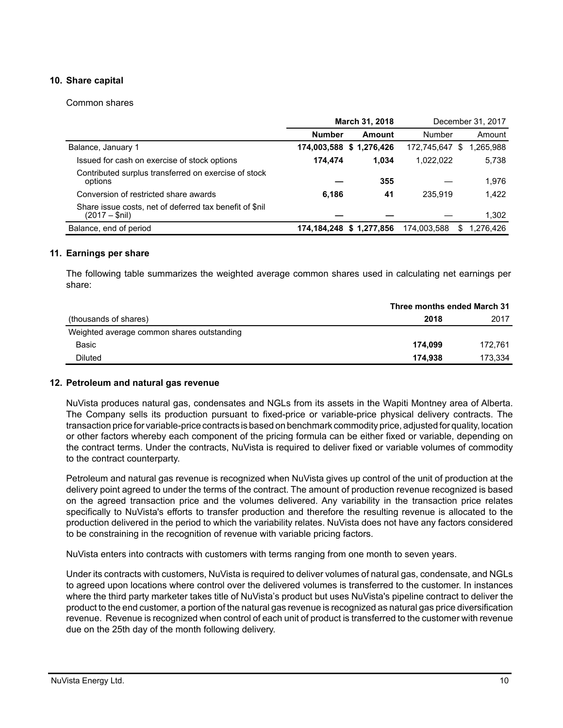### **10. Share capital**

#### Common shares

|                                                                           | March 31, 2018 |                         |             | December 31, 2017 |
|---------------------------------------------------------------------------|----------------|-------------------------|-------------|-------------------|
|                                                                           | <b>Number</b>  | Amount                  | Number      | Amount            |
| Balance, January 1                                                        |                | 174,003,588 \$1,276,426 | 172,745,647 | 1,265,988<br>S    |
| Issued for cash on exercise of stock options                              | 174.474        | 1.034                   | 1.022.022   | 5,738             |
| Contributed surplus transferred on exercise of stock<br>options           |                | 355                     |             | 1,976             |
| Conversion of restricted share awards                                     | 6,186          | 41                      | 235.919     | 1.422             |
| Share issue costs, net of deferred tax benefit of \$nil<br>(2017 – \$nil) |                |                         |             | 1.302             |
| Balance, end of period                                                    |                | 174,184,248 \$1,277,856 | 174,003,588 | 1.276.426<br>S    |

### **11. Earnings per share**

The following table summarizes the weighted average common shares used in calculating net earnings per share:

|                                            |         | Three months ended March 31 |  |  |
|--------------------------------------------|---------|-----------------------------|--|--|
| (thousands of shares)                      | 2018    | 2017                        |  |  |
| Weighted average common shares outstanding |         |                             |  |  |
| Basic                                      | 174.099 | 172.761                     |  |  |
| <b>Diluted</b>                             | 174.938 | 173.334                     |  |  |

#### **12. Petroleum and natural gas revenue**

NuVista produces natural gas, condensates and NGLs from its assets in the Wapiti Montney area of Alberta. The Company sells its production pursuant to fixed-price or variable-price physical delivery contracts. The transaction price for variable-price contracts is based on benchmark commodity price, adjusted for quality, location or other factors whereby each component of the pricing formula can be either fixed or variable, depending on the contract terms. Under the contracts, NuVista is required to deliver fixed or variable volumes of commodity to the contract counterparty.

Petroleum and natural gas revenue is recognized when NuVista gives up control of the unit of production at the delivery point agreed to under the terms of the contract. The amount of production revenue recognized is based on the agreed transaction price and the volumes delivered. Any variability in the transaction price relates specifically to NuVista's efforts to transfer production and therefore the resulting revenue is allocated to the production delivered in the period to which the variability relates. NuVista does not have any factors considered to be constraining in the recognition of revenue with variable pricing factors.

NuVista enters into contracts with customers with terms ranging from one month to seven years.

Under its contracts with customers, NuVista is required to deliver volumes of natural gas, condensate, and NGLs to agreed upon locations where control over the delivered volumes is transferred to the customer. In instances where the third party marketer takes title of NuVista's product but uses NuVista's pipeline contract to deliver the product to the end customer, a portion of the natural gas revenue is recognized as natural gas price diversification revenue. Revenue is recognized when control of each unit of product is transferred to the customer with revenue due on the 25th day of the month following delivery.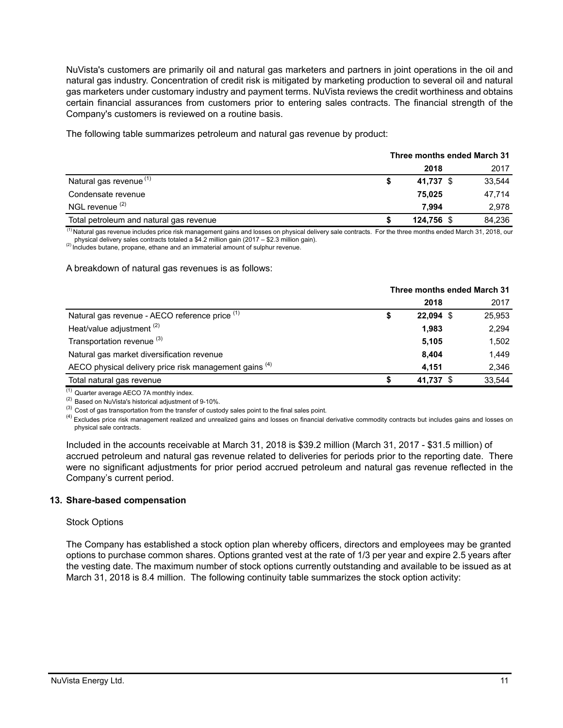NuVista's customers are primarily oil and natural gas marketers and partners in joint operations in the oil and natural gas industry. Concentration of credit risk is mitigated by marketing production to several oil and natural gas marketers under customary industry and payment terms. NuVista reviews the credit worthiness and obtains certain financial assurances from customers prior to entering sales contracts. The financial strength of the Company's customers is reviewed on a routine basis.

The following table summarizes petroleum and natural gas revenue by product:

#### **Three months ended March 31**

|                                         | 2018       | 2017   |
|-----------------------------------------|------------|--------|
| Natural gas revenue (1)                 | 41.737 \$  | 33.544 |
| Condensate revenue                      | 75.025     | 47,714 |
| NGL revenue <sup>(2)</sup>              | 7.994      | 2,978  |
| Total petroleum and natural gas revenue | 124,756 \$ | 84,236 |

 $^{(1)}$ Natural gas revenue includes price risk management gains and losses on physical delivery sale contracts. For the three months ended March 31, 2018, our physical delivery sales contracts totaled a \$4.2 million gain (2017 – \$2.3 million gain).<br><sup>(2)</sup> Includes butane, propane, ethane and an immaterial amount of sulphur revenue.

A breakdown of natural gas revenues is as follows:

|                                                        | Three months ended March 31 |             |        |  |  |
|--------------------------------------------------------|-----------------------------|-------------|--------|--|--|
|                                                        |                             | 2018        | 2017   |  |  |
| Natural gas revenue - AECO reference price (1)         | \$                          | $22,094$ \$ | 25,953 |  |  |
| Heat/value adjustment <sup>(2)</sup>                   |                             | 1.983       | 2,294  |  |  |
| Transportation revenue (3)                             |                             | 5,105       | 1,502  |  |  |
| Natural gas market diversification revenue             |                             | 8.404       | 1.449  |  |  |
| AECO physical delivery price risk management gains (4) |                             | 4.151       | 2.346  |  |  |
| Total natural gas revenue                              |                             | 41.737 \$   | 33.544 |  |  |
|                                                        |                             |             |        |  |  |

 $(1)$  Quarter average AECO 7A monthly index.

(2) Based on NuVista's historical adjustment of 9-10%.

<sup>(3)</sup> Cost of gas transportation from the transfer of custody sales point to the final sales point.

<sup>(4)</sup> Excludes price risk management realized and unrealized gains and losses on financial derivative commodity contracts but includes gains and losses on physical sale contracts.

Included in the accounts receivable at March 31, 2018 is \$39.2 million (March 31, 2017 - \$31.5 million) of accrued petroleum and natural gas revenue related to deliveries for periods prior to the reporting date. There were no significant adjustments for prior period accrued petroleum and natural gas revenue reflected in the Company's current period.

#### **13. Share-based compensation**

#### Stock Options

The Company has established a stock option plan whereby officers, directors and employees may be granted options to purchase common shares. Options granted vest at the rate of 1/3 per year and expire 2.5 years after the vesting date. The maximum number of stock options currently outstanding and available to be issued as at March 31, 2018 is 8.4 million. The following continuity table summarizes the stock option activity: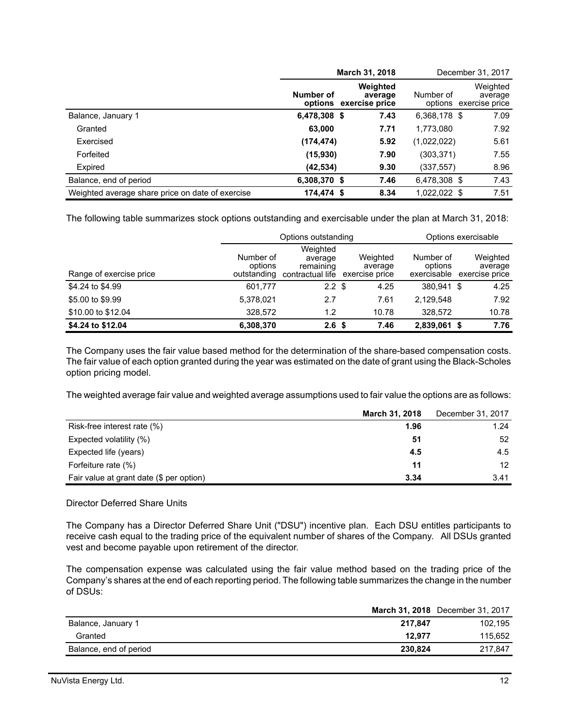|                                                  |              | March 31, 2018                                |              | December 31, 2017                             |
|--------------------------------------------------|--------------|-----------------------------------------------|--------------|-----------------------------------------------|
|                                                  | Number of    | Weighted<br>average<br>options exercise price | Number of    | Weighted<br>average<br>options exercise price |
| Balance, January 1                               | 6,478,308 \$ | 7.43                                          | 6,368,178 \$ | 7.09                                          |
| Granted                                          | 63,000       | 7.71                                          | 1,773,080    | 7.92                                          |
| Exercised                                        | (174, 474)   | 5.92                                          | (1,022,022)  | 5.61                                          |
| Forfeited                                        | (15,930)     | 7.90                                          | (303,371)    | 7.55                                          |
| Expired                                          | (42, 534)    | 9.30                                          | (337,557)    | 8.96                                          |
| Balance, end of period                           | 6,308,370 \$ | 7.46                                          | 6,478,308 \$ | 7.43                                          |
| Weighted average share price on date of exercise | 174,474 \$   | 8.34                                          | 1,022,022 \$ | 7.51                                          |

The following table summarizes stock options outstanding and exercisable under the plan at March 31, 2018:

|                         |                                     | Options outstanding                                  |                                       | Options exercisable                 |                                       |  |  |  |
|-------------------------|-------------------------------------|------------------------------------------------------|---------------------------------------|-------------------------------------|---------------------------------------|--|--|--|
| Range of exercise price | Number of<br>options<br>outstanding | Weighted<br>average<br>remaining<br>contractual life | Weighted<br>average<br>exercise price | Number of<br>options<br>exercisable | Weighted<br>average<br>exercise price |  |  |  |
| \$4,24 to \$4,99        | 601,777                             | $2.2 \text{ } $$                                     | 4.25                                  | 380.941 \$                          | 4.25                                  |  |  |  |
| \$5,00 to \$9.99        | 5,378,021                           | 2.7                                                  | 7.61                                  | 2,129,548                           | 7.92                                  |  |  |  |
| \$10.00 to \$12.04      | 328,572                             | 1.2                                                  | 10.78                                 | 328.572                             | 10.78                                 |  |  |  |
| \$4.24 to \$12.04       | 6,308,370                           | 2.6 <sup>5</sup>                                     | 7.46                                  | 2,839,061 \$                        | 7.76                                  |  |  |  |

The Company uses the fair value based method for the determination of the share-based compensation costs. The fair value of each option granted during the year was estimated on the date of grant using the Black-Scholes option pricing model.

The weighted average fair value and weighted average assumptions used to fair value the options are as follows:

|                                          | <b>March 31, 2018</b> | December 31, 2017 |
|------------------------------------------|-----------------------|-------------------|
| Risk-free interest rate (%)              | 1.96                  | 1.24              |
| Expected volatility (%)                  | 51                    | 52                |
| Expected life (years)                    | 4.5                   | 4.5               |
| Forfeiture rate (%)                      | 11                    | 12 <sup>2</sup>   |
| Fair value at grant date (\$ per option) | 3.34                  | 3.41              |

### Director Deferred Share Units

The Company has a Director Deferred Share Unit ("DSU") incentive plan. Each DSU entitles participants to receive cash equal to the trading price of the equivalent number of shares of the Company. All DSUs granted vest and become payable upon retirement of the director.

The compensation expense was calculated using the fair value method based on the trading price of the Company's shares at the end of each reporting period. The following table summarizes the change in the number of DSUs:

|                        |         | March 31, 2018 December 31, 2017 |
|------------------------|---------|----------------------------------|
| Balance, January 1     | 217.847 | 102.195                          |
| Granted                | 12.977  | 115.652                          |
| Balance, end of period | 230.824 | 217.847                          |
|                        |         |                                  |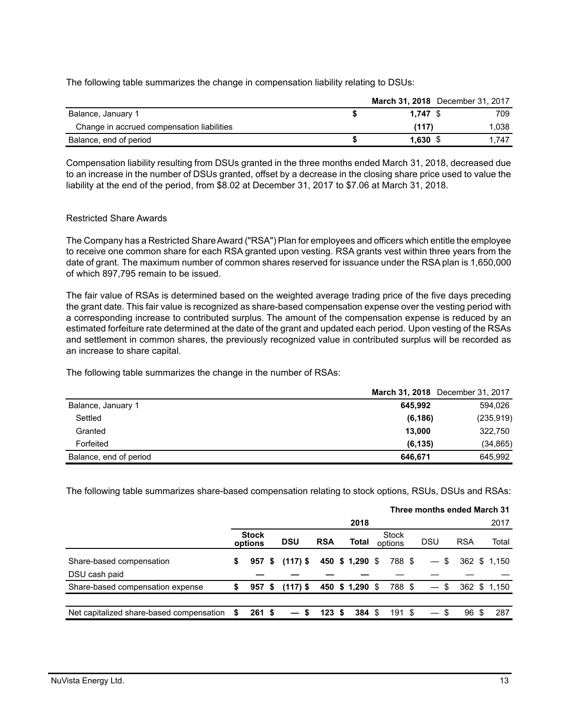The following table summarizes the change in compensation liability relating to DSUs:

|                                            |            | March 31, 2018 December 31, 2017 |
|--------------------------------------------|------------|----------------------------------|
| Balance, January 1                         | $1.747$ \$ | 709                              |
| Change in accrued compensation liabilities | (117)      | 1.038                            |
| Balance, end of period                     | 1.630S     | 1.747                            |

Compensation liability resulting from DSUs granted in the three months ended March 31, 2018, decreased due to an increase in the number of DSUs granted, offset by a decrease in the closing share price used to value the liability at the end of the period, from \$8.02 at December 31, 2017 to \$7.06 at March 31, 2018.

#### Restricted Share Awards

The Company has a Restricted Share Award ("RSA") Plan for employees and officers which entitle the employee to receive one common share for each RSA granted upon vesting. RSA grants vest within three years from the date of grant. The maximum number of common shares reserved for issuance under the RSA plan is 1,650,000 of which 897,795 remain to be issued.

The fair value of RSAs is determined based on the weighted average trading price of the five days preceding the grant date. This fair value is recognized as share-based compensation expense over the vesting period with a corresponding increase to contributed surplus. The amount of the compensation expense is reduced by an estimated forfeiture rate determined at the date of the grant and updated each period. Upon vesting of the RSAs and settlement in common shares, the previously recognized value in contributed surplus will be recorded as an increase to share capital.

The following table summarizes the change in the number of RSAs:

|                        | March 31, 2018 December 31, 2017 |  |
|------------------------|----------------------------------|--|
| Balance, January 1     | 594.026<br>645.992               |  |
| Settled                | (235, 919)<br>(6, 186)           |  |
| Granted                | 13.000<br>322,750                |  |
| Forfeited              | (6, 135)<br>(34, 865)            |  |
| Balance, end of period | 645.992<br>646.671               |  |

The following table summarizes share-based compensation relating to stock options, RSUs, DSUs and RSAs:

|                                          |    |                         |    |            |            |                   |                  | Three months ended March 31 |      |            |      |              |
|------------------------------------------|----|-------------------------|----|------------|------------|-------------------|------------------|-----------------------------|------|------------|------|--------------|
|                                          |    |                         |    |            |            | 2018              |                  |                             |      |            |      | 2017         |
|                                          |    | <b>Stock</b><br>options |    | <b>DSU</b> | <b>RSA</b> | Total             | Stock<br>options | DSU                         |      | <b>RSA</b> |      | Total        |
| Share-based compensation                 | \$ | 957                     | -S | $(117)$ S  |            | 450 \$ 1,290 \$   | 788 \$           | $-$ \$                      |      |            |      | 362 \$ 1.150 |
| DSU cash paid                            |    |                         |    |            |            |                   |                  |                             |      |            |      |              |
| Share-based compensation expense         | S  | 957 S                   |    | $(117)$ \$ |            | 450 \$ 1,290 \$   | 788 \$           |                             | - \$ |            |      | 362 \$ 1.150 |
|                                          |    |                         |    |            |            |                   |                  |                             |      |            |      |              |
| Net capitalized share-based compensation |    | 261S                    |    | -S         | 123S       | $384 \text{ } $5$ | 191 \$           |                             | - \$ | 96         | - \$ | 287          |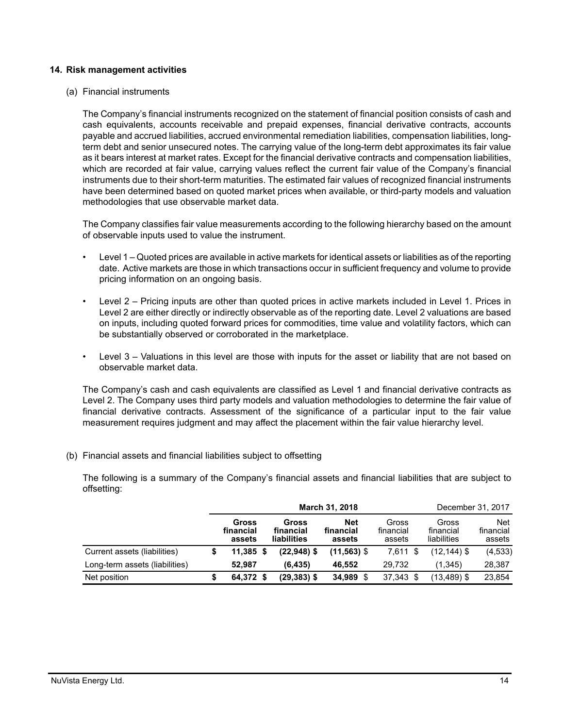#### **14. Risk management activities**

(a) Financial instruments

The Company's financial instruments recognized on the statement of financial position consists of cash and cash equivalents, accounts receivable and prepaid expenses, financial derivative contracts, accounts payable and accrued liabilities, accrued environmental remediation liabilities, compensation liabilities, longterm debt and senior unsecured notes. The carrying value of the long-term debt approximates its fair value as it bears interest at market rates. Except for the financial derivative contracts and compensation liabilities, which are recorded at fair value, carrying values reflect the current fair value of the Company's financial instruments due to their short-term maturities. The estimated fair values of recognized financial instruments have been determined based on quoted market prices when available, or third-party models and valuation methodologies that use observable market data.

The Company classifies fair value measurements according to the following hierarchy based on the amount of observable inputs used to value the instrument.

- Level 1 Quoted prices are available in active markets for identical assets or liabilities as of the reporting date. Active markets are those in which transactions occur in sufficient frequency and volume to provide pricing information on an ongoing basis.
- Level 2 Pricing inputs are other than quoted prices in active markets included in Level 1. Prices in Level 2 are either directly or indirectly observable as of the reporting date. Level 2 valuations are based on inputs, including quoted forward prices for commodities, time value and volatility factors, which can be substantially observed or corroborated in the marketplace.
- Level 3 Valuations in this level are those with inputs for the asset or liability that are not based on observable market data.

The Company's cash and cash equivalents are classified as Level 1 and financial derivative contracts as Level 2. The Company uses third party models and valuation methodologies to determine the fair value of financial derivative contracts. Assessment of the significance of a particular input to the fair value measurement requires judgment and may affect the placement within the fair value hierarchy level.

(b) Financial assets and financial liabilities subject to offsetting

The following is a summary of the Company's financial assets and financial liabilities that are subject to offsetting:

|                                |                              |                                   | <b>March 31, 2018</b>      |                              |                                   | December 31, 2017                 |
|--------------------------------|------------------------------|-----------------------------------|----------------------------|------------------------------|-----------------------------------|-----------------------------------|
|                                | Gross<br>financial<br>assets | Gross<br>financial<br>liabilities | Net<br>financial<br>assets | Gross<br>financial<br>assets | Gross<br>financial<br>liabilities | <b>Net</b><br>financial<br>assets |
| Current assets (liabilities)   | $11.385$ \$                  | $(22,948)$ \$                     | $(11,563)$ \$              | $7.611$ \$                   | $(12, 144)$ \$                    | (4, 533)                          |
| Long-term assets (liabilities) | 52.987                       | (6, 435)                          | 46.552                     | 29.732                       | (1,345)                           | 28,387                            |
| Net position                   | 64,372 \$                    | (29,383) \$                       | 34,989<br>S.               | 37,343 \$                    | (13,489) \$                       | 23,854                            |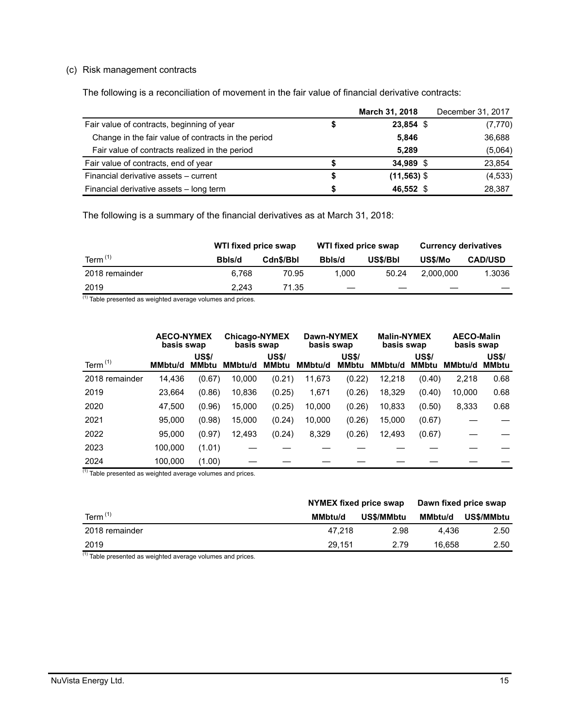### (c) Risk management contracts

The following is a reconciliation of movement in the fair value of financial derivative contracts:

|                                                     | March 31, 2018 | December 31, 2017 |
|-----------------------------------------------------|----------------|-------------------|
| Fair value of contracts, beginning of year          | 23,854 \$      | (7, 770)          |
| Change in the fair value of contracts in the period | 5,846          | 36,688            |
| Fair value of contracts realized in the period      | 5.289          | (5,064)           |
| Fair value of contracts, end of year                | 34,989 \$      | 23,854            |
| Financial derivative assets - current               | $(11,563)$ \$  | (4, 533)          |
| Financial derivative assets - long term             | 46,552 \$      | 28,387            |

The following is a summary of the financial derivatives as at March 31, 2018:

|                | WTI fixed price swap |           | WTI fixed price swap |          | <b>Currency derivatives</b> |                |  |
|----------------|----------------------|-----------|----------------------|----------|-----------------------------|----------------|--|
| Term $(1)$     | Bbls/d               | Cdn\$/Bbl | Bbls/d               | US\$/Bbl | US\$/Mo                     | <b>CAD/USD</b> |  |
| 2018 remainder | 6.768                | 70.95     | 1.000                | 50.24    | 2.000.000                   | 1.3036         |  |
| 2019<br>.      | 2.243                | 71.35     |                      |          |                             |                |  |

 $(1)$  Table presented as weighted average volumes and prices.

|                | <b>AECO-NYMEX</b><br>basis swap |                              | Chicago-NYMEX<br>basis swap |                              | Dawn-NYMEX<br>basis swap |                              | <b>Malin-NYMEX</b><br>basis swap |                              | <b>AECO-Malin</b><br>basis swap |                              |
|----------------|---------------------------------|------------------------------|-----------------------------|------------------------------|--------------------------|------------------------------|----------------------------------|------------------------------|---------------------------------|------------------------------|
| Term $(1)$     | MMbtu/d                         | <b>US\$/</b><br><b>MMbtu</b> | MMbtu/d                     | <b>US\$/</b><br><b>MMbtu</b> | <b>MMbtu/d</b>           | <b>US\$/</b><br><b>MMbtu</b> | <b>MMbtu/d</b>                   | <b>US\$/</b><br><b>MMbtu</b> | MMbtu/d                         | <b>US\$/</b><br><b>MMbtu</b> |
| 2018 remainder | 14,436                          | (0.67)                       | 10.000                      | (0.21)                       | 11,673                   | (0.22)                       | 12,218                           | (0.40)                       | 2,218                           | 0.68                         |
| 2019           | 23,664                          | (0.86)                       | 10,836                      | (0.25)                       | 1,671                    | (0.26)                       | 18,329                           | (0.40)                       | 10,000                          | 0.68                         |
| 2020           | 47.500                          | (0.96)                       | 15.000                      | (0.25)                       | 10,000                   | (0.26)                       | 10,833                           | (0.50)                       | 8,333                           | 0.68                         |
| 2021           | 95.000                          | (0.98)                       | 15.000                      | (0.24)                       | 10,000                   | (0.26)                       | 15,000                           | (0.67)                       |                                 |                              |
| 2022           | 95.000                          | (0.97)                       | 12,493                      | (0.24)                       | 8,329                    | (0.26)                       | 12,493                           | (0.67)                       |                                 |                              |
| 2023           | 100.000                         | (1.01)                       |                             |                              |                          |                              |                                  |                              |                                 |                              |
| 2024           | 100,000                         | (1.00)                       |                             |                              |                          |                              |                                  |                              |                                 |                              |

 $(1)$  Table presented as weighted average volumes and prices.

|                | NYMEX fixed price swap |            |         | Dawn fixed price swap |  |  |
|----------------|------------------------|------------|---------|-----------------------|--|--|
| Term $(1)$     | <b>MMbtu/d</b>         | US\$/MMbtu | MMbtu/d | <b>US\$/MMbtu</b>     |  |  |
| 2018 remainder | 47.218                 | 2.98       | 4.436   | 2.50                  |  |  |
| 2019           | 29.151                 | 2.79       | 16.658  | 2.50                  |  |  |
| $\overline{1}$ |                        |            |         |                       |  |  |

 $\overline{^{(1)}}$  Table presented as weighted average volumes and prices.